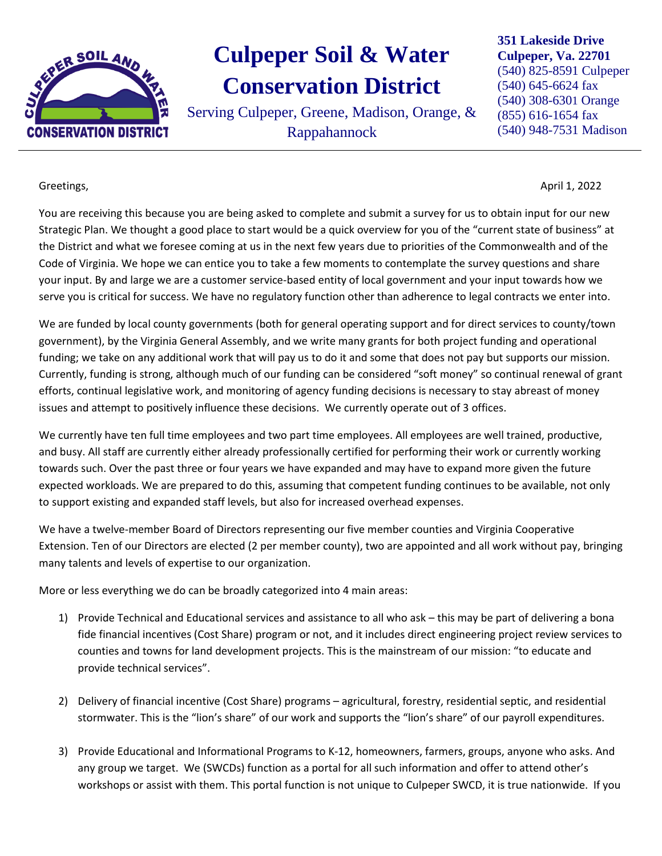

## **Culpeper Soil & Water Conservation District**

Serving Culpeper, Greene, Madison, Orange, & Rappahannock

**351 Lakeside Drive Culpeper, Va. 22701** (540) 825-8591 Culpeper (540) 645-6624 fax (540) 308-6301 Orange (855) 616-1654 fax (540) 948-7531 Madison

Greetings, April 1, 2022

You are receiving this because you are being asked to complete and submit a survey for us to obtain input for our new Strategic Plan. We thought a good place to start would be a quick overview for you of the "current state of business" at the District and what we foresee coming at us in the next few years due to priorities of the Commonwealth and of the Code of Virginia. We hope we can entice you to take a few moments to contemplate the survey questions and share your input. By and large we are a customer service-based entity of local government and your input towards how we serve you is critical for success. We have no regulatory function other than adherence to legal contracts we enter into.

We are funded by local county governments (both for general operating support and for direct services to county/town government), by the Virginia General Assembly, and we write many grants for both project funding and operational funding; we take on any additional work that will pay us to do it and some that does not pay but supports our mission. Currently, funding is strong, although much of our funding can be considered "soft money" so continual renewal of grant efforts, continual legislative work, and monitoring of agency funding decisions is necessary to stay abreast of money issues and attempt to positively influence these decisions. We currently operate out of 3 offices.

We currently have ten full time employees and two part time employees. All employees are well trained, productive, and busy. All staff are currently either already professionally certified for performing their work or currently working towards such. Over the past three or four years we have expanded and may have to expand more given the future expected workloads. We are prepared to do this, assuming that competent funding continues to be available, not only to support existing and expanded staff levels, but also for increased overhead expenses.

We have a twelve-member Board of Directors representing our five member counties and Virginia Cooperative Extension. Ten of our Directors are elected (2 per member county), two are appointed and all work without pay, bringing many talents and levels of expertise to our organization.

More or less everything we do can be broadly categorized into 4 main areas:

- 1) Provide Technical and Educational services and assistance to all who ask this may be part of delivering a bona fide financial incentives (Cost Share) program or not, and it includes direct engineering project review services to counties and towns for land development projects. This is the mainstream of our mission: "to educate and provide technical services".
- 2) Delivery of financial incentive (Cost Share) programs agricultural, forestry, residential septic, and residential stormwater. This is the "lion's share" of our work and supports the "lion's share" of our payroll expenditures.
- 3) Provide Educational and Informational Programs to K-12, homeowners, farmers, groups, anyone who asks. And any group we target. We (SWCDs) function as a portal for all such information and offer to attend other's workshops or assist with them. This portal function is not unique to Culpeper SWCD, it is true nationwide. If you